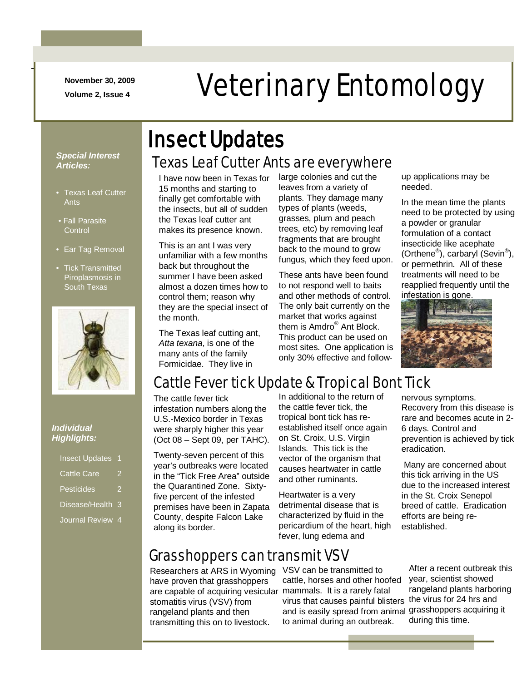**November 30, 2009**

-

# November 30, 2009<br>Veterinary Entomology

#### *Special Interest Articles:*

- Texas Leaf Cutter Ants
- Fall Parasite **Control**
- Ear Tag Removal
- Tick Transmitted Piroplasmosis in South Texas



#### *Individual Highlights:*

| <b>Insect Updates</b> |   |
|-----------------------|---|
| <b>Cattle Care</b>    | 2 |
| Pesticides            | 2 |
| Disease/Health 3      |   |
| <b>Journal Review</b> | 4 |

# Texas Leaf Cutter Ants are everywhere Insect Updates

I have now been in Texas for 15 months and starting to finally get comfortable with the insects, but all of sudden the Texas leaf cutter ant makes its presence known.

This is an ant I was very unfamiliar with a few months back but throughout the summer I have been asked almost a dozen times how to control them; reason why they are the special insect of the month.

The Texas leaf cutting ant, *Atta texana*, is one of the many ants of the family Formicidae. They live in

large colonies and cut the leaves from a variety of plants. They damage many types of plants (weeds, grasses, plum and peach trees, etc) by removing leaf fragments that are brought back to the mound to grow fungus, which they feed upon.

These ants have been found to not respond well to baits and other methods of control. The only bait currently on the market that works against them is Amdro® Ant Block. This product can be used on most sites. One application is only 30% effective and followup applications may be needed.

In the mean time the plants need to be protected by using a powder or granular formulation of a contact insecticide like acephate (Orthene<sup>®</sup>), carbaryl (Sevin<sup>®</sup>), or permethrin. All of these treatments will need to be reapplied frequently until the infestation is gone.



# Cattle Fever tick Update & Tropical Bont Tick

The cattle fever tick infestation numbers along the U.S.-Mexico border in Texas were sharply higher this year (Oct 08 – Sept 09, per TAHC).

Twenty-seven percent of this year's outbreaks were located in the "Tick Free Area" outside the Quarantined Zone. Sixtyfive percent of the infested premises have been in Zapata County, despite Falcon Lake along its border.

In additional to the return of the cattle fever tick, the tropical bont tick has reestablished itself once again on St. Croix, U.S. Virgin Islands. This tick is the vector of the organism that causes heartwater in cattle and other ruminants.

Heartwater is a very detrimental disease that is characterized by fluid in the pericardium of the heart, high fever, lung edema and

# Grasshoppers can transmit VSV

Researchers at ARS in Wyoming have proven that grasshoppers are capable of acquiring vesicular mammals. It is a rarely fatal stomatitis virus (VSV) from rangeland plants and then transmitting this on to livestock.

VSV can be transmitted to cattle, horses and other hoofed virus that causes painful blisters and is easily spread from animal grasshoppers acquiring it to animal during an outbreak.

nervous symptoms. Recovery from this disease is rare and becomes acute in 2- 6 days. Control and prevention is achieved by tick eradication.

Many are concerned about this tick arriving in the US due to the increased interest in the St. Croix Senepol breed of cattle. Eradication efforts are being reestablished.

After a recent outbreak this year, scientist showed rangeland plants harboring the virus for 24 hrs and during this time.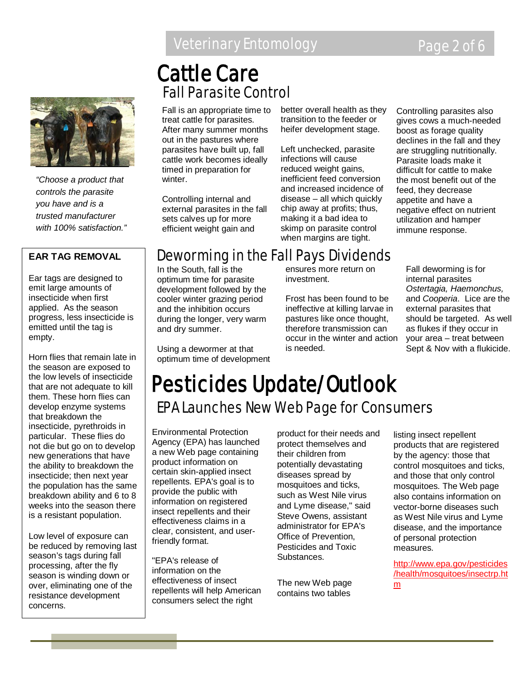# Veterinary Entomology **Page 2 of 6**



*"Choose a product that controls the parasite you have and is a trusted manufacturer with 100% satisfaction."*

#### **EAR TAG REMOVAL**

Ear tags are designed to emit large amounts of insecticide when first applied. As the season progress, less insecticide is emitted until the tag is empty.

Horn flies that remain late in the season are exposed to the low levels of insecticide that are not adequate to kill them. These horn flies can develop enzyme systems that breakdown the insecticide, pyrethroids in particular. These flies do not die but go on to develop new generations that have the ability to breakdown the insecticide; then next year the population has the same breakdown ability and 6 to 8 weeks into the season there is a resistant population.

Low level of exposure can be reduced by removing last season's tags during fall processing, after the fly season is winding down or over, eliminating one of the resistance development concerns.

# Fall Parasite Control Cattle Care

Fall is an appropriate time to treat cattle for parasites. After many summer months out in the pastures where parasites have built up, fall cattle work becomes ideally timed in preparation for winter.

Controlling internal and external parasites in the fall sets calves up for more efficient weight gain and

better overall health as they transition to the feeder or heifer development stage.

Left unchecked, parasite infections will cause reduced weight gains, inefficient feed conversion and increased incidence of disease – all which quickly chip away at profits; thus, making it a bad idea to skimp on parasite control when margins are tight.

Controlling parasites also gives cows a much-needed boost as forage quality declines in the fall and they are struggling nutritionally. Parasite loads make it difficult for cattle to make the most benefit out of the feed, they decrease appetite and have a negative effect on nutrient utilization and hamper immune response.

# Deworming in the Fall Pays Dividends

In the South, fall is the optimum time for parasite development followed by the cooler winter grazing period and the inhibition occurs during the longer, very warm and dry summer.

Using a dewormer at that optimum time of development ensures more return on investment.

Frost has been found to be ineffective at killing larvae in pastures like once thought, therefore transmission can occur in the winter and action is needed.

Fall deworming is for internal parasites *Ostertagia, Haemonchus,*  and *Cooperia*. Lice are the external parasites that should be targeted. As well as flukes if they occur in your area – treat between Sept & Nov with a flukicide.

# EPA Launches New Web Page for Consumers Pesticides Update/Outlook

Environmental Protection Agency (EPA) has launched a new Web page containing product information on certain skin-applied insect repellents. EPA's goal is to provide the public with information on registered insect repellents and their effectiveness claims in a clear, consistent, and userfriendly format.

"EPA's release of information on the effectiveness of insect repellents will help American consumers select the right

product for their needs and protect themselves and their children from potentially devastating diseases spread by mosquitoes and ticks, such as West Nile virus and Lyme disease," said Steve Owens, assistant administrator for EPA's Office of Prevention, Pesticides and Toxic Substances.

The new Web page contains two tables

listing insect repellent products that are registered by the agency: those that control mosquitoes and ticks, and those that only control mosquitoes. The Web page also contains information on vector-borne diseases such as West Nile virus and Lyme disease, and the importance of personal protection measures.

http://www.epa.gov/pesticides /health/mosquitoes/insectrp.ht m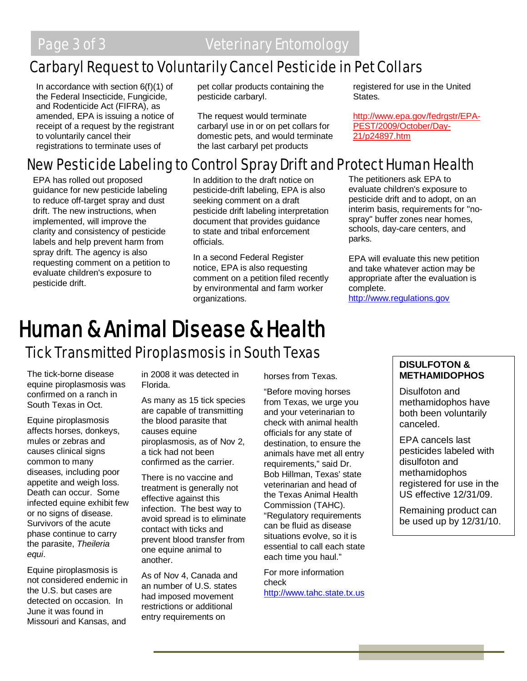# Carbaryl Request to Voluntarily Cancel Pesticide in Pet Collars

In accordance with section 6(f)(1) of the Federal Insecticide, Fungicide, and Rodenticide Act (FIFRA), as amended, EPA is issuing a notice of receipt of a request by the registrant to voluntarily cancel their registrations to terminate uses of

pet collar products containing the pesticide carbaryl.

The request would terminate carbaryl use in or on pet collars for domestic pets, and would terminate the last carbaryl pet products

registered for use in the United States.

http://www.epa.gov/fedrgstr/EPA-PEST/2009/October/Day-21/p24897.htm

# New Pesticide Labeling to Control Spray Drift and Protect Human Health

EPA has rolled out proposed guidance for new pesticide labeling to reduce off-target spray and dust drift. The new instructions, when implemented, will improve the clarity and consistency of pesticide labels and help prevent harm from spray drift. The agency is also requesting comment on a petition to evaluate children's exposure to pesticide drift.

In addition to the draft notice on pesticide-drift labeling, EPA is also seeking comment on a draft pesticide drift labeling interpretation document that provides guidance to state and tribal enforcement officials.

In a second Federal Register notice, EPA is also requesting comment on a petition filed recently by environmental and farm worker organizations.

The petitioners ask EPA to evaluate children's exposure to pesticide drift and to adopt, on an interim basis, requirements for "nospray" buffer zones near homes, schools, day-care centers, and parks.

EPA will evaluate this new petition and take whatever action may be appropriate after the evaluation is complete.

[http://www.regulations.gov](http://www.regulations.gov/)

# **Human & Animal Disease & Health**<br>Tick Transmitted Piroplasmosis in South Texas

The tick-borne disease equine piroplasmosis was confirmed on a ranch in South Texas in Oct.

Equine piroplasmosis affects horses, donkeys, mules or zebras and causes clinical signs common to many diseases, including poor appetite and weigh loss. Death can occur. Some infected equine exhibit few or no signs of disease. Survivors of the acute phase continue to carry the parasite, *Theileria equi*.

Equine piroplasmosis is not considered endemic in the U.S. but cases are detected on occasion. In June it was found in Missouri and Kansas, and

in 2008 it was detected in Florida.

As many as 15 tick species are capable of transmitting the blood parasite that causes equine piroplasmosis, as of Nov 2, a tick had not been confirmed as the carrier.

There is no vaccine and treatment is generally not effective against this infection. The best way to avoid spread is to eliminate contact with ticks and prevent blood transfer from one equine animal to another.

As of Nov 4, Canada and an number of U.S. states had imposed movement restrictions or additional entry requirements on

horses from Texas.

"Before moving horses from Texas, we urge you and your veterinarian to check with animal health officials for any state of destination, to ensure the animals have met all entry requirements," said Dr. Bob Hillman, Texas' state veterinarian and head of the Texas Animal Health Commission (TAHC). "Regulatory requirements can be fluid as disease situations evolve, so it is essential to call each state each time you haul."

For more information check [http://www.tahc.state.tx.us](http://www.tahc.state.tx.us/)

#### **DISULFOTON & METHAMIDOPHOS**

Disulfoton and methamidophos have both been voluntarily canceled.

EPA cancels last pesticides labeled with disulfoton and methamidophos registered for use in the US effective 12/31/09.

Remaining product can be used up by 12/31/10.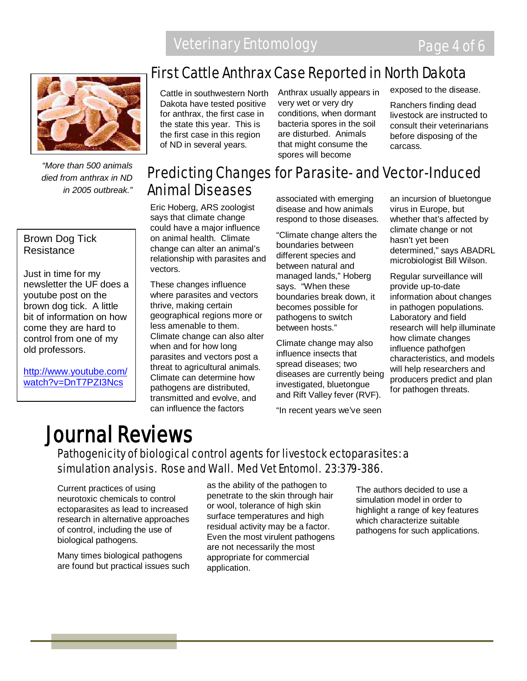

*"More than 500 animals died from anthrax in ND in 2005 outbreak."*

#### Brown Dog Tick Resistance

Just in time for my newsletter the UF does a youtube post on the brown dog tick. A little bit of information on how come they are hard to control from one of my old professors.

[http://www.youtube.com/](http://www.youtube.com/watch?v=DnT7PZI3Ncs) [watch?v=DnT7PZI3Ncs](http://www.youtube.com/watch?v=DnT7PZI3Ncs)

# First Cattle Anthrax Case Reported in North Dakota

Cattle in southwestern North Dakota have tested positive for anthrax, the first case in the state this year. This is the first case in this region of ND in several years.

Anthrax usually appears in very wet or very dry conditions, when dormant bacteria spores in the soil are disturbed. Animals that might consume the spores will become

exposed to the disease.

Ranchers finding dead livestock are instructed to consult their veterinarians before disposing of the carcass.

# Predicting Changes for Parasite- and Vector-Induced Animal Diseases

Eric Hoberg, ARS zoologist says that climate change could have a major influence on animal health. Climate change can alter an animal's relationship with parasites and vectors.

These changes influence where parasites and vectors thrive, making certain geographical regions more or less amenable to them. Climate change can also alter when and for how long parasites and vectors post a threat to agricultural animals. Climate can determine how pathogens are distributed, transmitted and evolve, and can influence the factors

associated with emerging disease and how animals respond to those diseases.

"Climate change alters the boundaries between different species and between natural and managed lands," Hoberg says. "When these boundaries break down, it becomes possible for pathogens to switch between hosts."

Climate change may also influence insects that spread diseases; two diseases are currently being investigated, bluetongue and Rift Valley fever (RVF).

"In recent years we've seen

an incursion of bluetongue virus in Europe, but whether that's affected by climate change or not hasn't yet been determined," says ABADRL microbiologist Bill Wilson.

Regular surveillance will provide up-to-date information about changes in pathogen populations. Laboratory and field research will help illuminate how climate changes influence pathofgen characteristics, and models will help researchers and producers predict and plan for pathogen threats.

# Journal Reviews

# Pathogenicity of biological control agents for livestock ectoparasites: a simulation analysis. Rose and Wall. Med Vet Entomol. 23:379-386.

Current practices of using neurotoxic chemicals to control ectoparasites as lead to increased research in alternative approaches of control, including the use of biological pathogens.

Many times biological pathogens are found but practical issues such as the ability of the pathogen to penetrate to the skin through hair or wool, tolerance of high skin surface temperatures and high residual activity may be a factor. Even the most virulent pathogens are not necessarily the most appropriate for commercial application.

The authors decided to use a simulation model in order to highlight a range of key features which characterize suitable pathogens for such applications.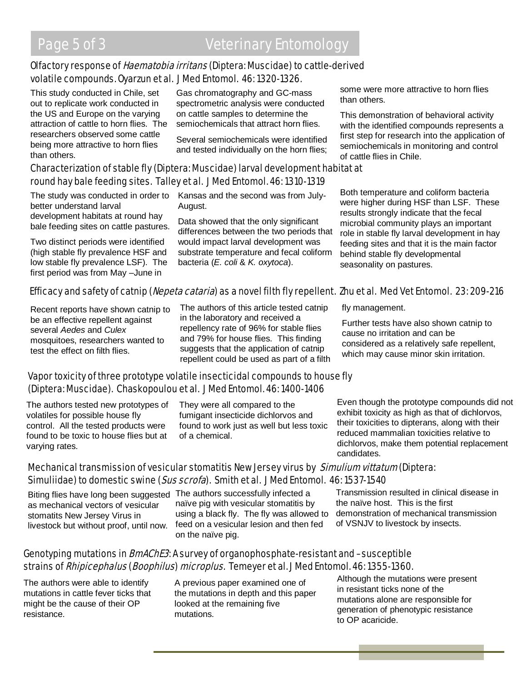## Olfactory response of *Haematobia irritans* (Diptera: Muscidae) to cattle-derived volatile compounds. Oyarzun et al. J Med Entomol. 46: 1320-1326.

This study conducted in Chile, set out to replicate work conducted in the US and Europe on the varying attraction of cattle to horn flies. The researchers observed some cattle being more attractive to horn flies than others.

Gas chromatography and GC-mass spectrometric analysis were conducted on cattle samples to determine the semiochemicals that attract horn flies.

Several semiochemicals were identified and tested individually on the horn flies;

# Characterization of stable fly (Diptera: Muscidae) larval development habitat at round hay bale feeding sites. Talley et al. J Med Entomol. 46: 1310-1319

better understand larval development habitats at round hay bale feeding sites on cattle pastures.

Two distinct periods were identified (high stable fly prevalence HSF and low stable fly prevalence LSF). The first period was from May –June in

The study was conducted in order to Kansas and the second was from July-August.

> Data showed that the only significant differences between the two periods that would impact larval development was substrate temperature and fecal coliform bacteria (*E. coli* & *K. oxytoca*).

some were more attractive to horn flies than others.

This demonstration of behavioral activity with the identified compounds represents a first step for research into the application of semiochemicals in monitoring and control of cattle flies in Chile.

Both temperature and coliform bacteria were higher during HSF than LSF. These results strongly indicate that the fecal microbial community plays an important role in stable fly larval development in hay feeding sites and that it is the main factor behind stable fly developmental seasonality on pastures.

# Efficacy and safety of catnip (Nepeta cataria) as a novel filth fly repellent. Zhu et al. Med Vet Entomol. 23:209-216

Recent reports have shown catnip to be an effective repellent against several *Aedes* and *Culex* mosquitoes, researchers wanted to test the effect on filth flies.

The authors of this article tested catnip in the laboratory and received a repellency rate of 96% for stable flies and 79% for house flies. This finding suggests that the application of catnip repellent could be used as part of a filth

fly management.

Further tests have also shown catnip to cause no irritation and can be considered as a relatively safe repellent, which may cause minor skin irritation.

#### Vapor toxicity of three prototype volatile insecticidal compounds to house fly (Diptera: Muscidae). Chaskopoulou et al. J Med Entomol. 46: 1400-1406

The authors tested new prototypes of volatiles for possible house fly control. All the tested products were found to be toxic to house flies but at varying rates.

They were all compared to the fumigant insecticide dichlorvos and found to work just as well but less toxic of a chemical.

Even though the prototype compounds did not exhibit toxicity as high as that of dichlorvos, their toxicities to dipterans, along with their reduced mammalian toxicities relative to dichlorvos, make them potential replacement candidates.

## Mechanical transmission of vesicular stomatitis New Jersey virus by Simulium vittatum (Diptera: Simuliidae) to domestic swine (Sus scrofa). Smith et al. J Med Entomol. 46: 1537-1540

Biting flies have long been suggested The authors successfully infected a as mechanical vectors of vesicular stomatits New Jersey Virus in livestock but without proof, until now.

naïve pig with vesicular stomatitis by using a black fly. The fly was allowed to feed on a vesicular lesion and then fed on the naïve pig.

Transmission resulted in clinical disease in the naïve host. This is the first demonstration of mechanical transmission of VSNJV to livestock by insects.

## Genotyping mutations in *BmAChE3*: A survey of organophosphate-resistant and –susceptible strains of Rhipicephalus (Boophilus) microplus. Temeyer et al. J Med Entomol. 46: 1355-1360.

The authors were able to identify mutations in cattle fever ticks that might be the cause of their OP resistance.

A previous paper examined one of the mutations in depth and this paper looked at the remaining five mutations.

Although the mutations were present in resistant ticks none of the mutations alone are responsible for generation of phenotypic resistance to OP acaricide.